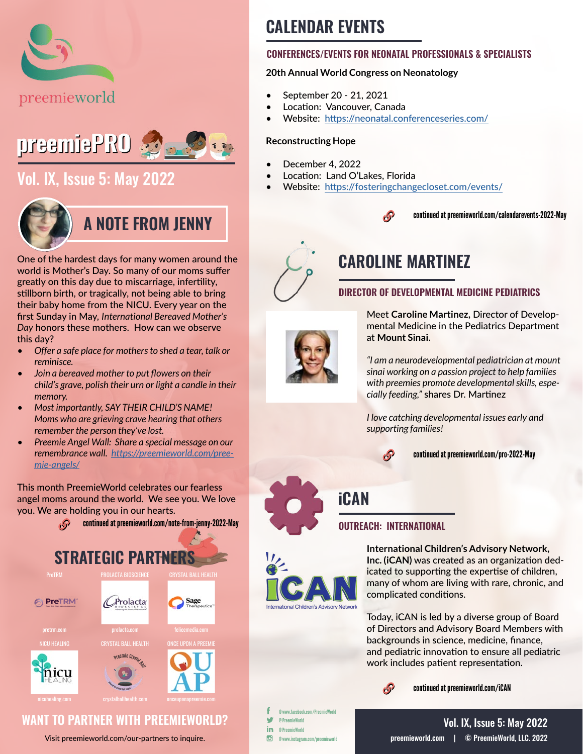



## [Vol. IX, Issue 5: May 2022](https://preemieworld.com/preemie-pro-digital-issues/)



## **A NOTE FROM JENNY**

One of the hardest days for many women around the world is Mother's Day. So many of our moms suffer greatly on this day due to miscarriage, infertility, stillborn birth, or tragically, not being able to bring their baby home from the NICU. Every year on the first Sunday in May, *International Bereaved Mother's Day* honors these mothers. How can we observe this day?

- *• Offer a safe place for mothers to shed a tear, talk or reminisce.*
- *• Join a bereaved mother to put flowers on their child's grave, polish their urn or light a candle in their memory.*
- *• Most importantly, SAY THEIR CHILD'S NAME! Moms who are grieving crave hearing that others remember the person they've lost.*
- *• Preemie Angel Wall: Share a special message on our remembrance wall. [https://preemieworld.com/pree](https://preemieworld.com/preemie-angels/ )[mie-angels/](https://preemieworld.com/preemie-angels/ )*

This month PreemieWorld celebrates our fearless angel moms around the world. We see you. We love you. We are holding you in our hearts.



## **WANT TO PARTNER WITH PREEMIEWORLD?**

Visit [preemieworld.com/our-partners](https://preemieworld.com/our-partners) to inquire.

# **CALENDAR EVENTS**

#### **CONFERENCES/EVENTS FOR NEONATAL PROFESSIONALS & SPECIALISTS**

#### **20th Annual World Congress on Neonatology**

- September 20 21, 2021
- Location: Vancouver, Canada
- Website: https://neonatal.conferenceseries.com/

#### **Reconstructing Hope**

- December 4, 2022
- Location: Land O'Lakes, Florida
- Website: <https://fosteringchangecloset.com/events/>





# **CAROLINE MARTINEZ**

#### **DIRECTOR OF DEVELOPMENTAL MEDICINE PEDIATRICS**

Meet **Caroline Martinez,** Director of Developmental Medicine in the Pediatrics Department at **Mount Sinai**.

*"I am a neurodevelopmental pediatrician at mount sinai working on a passion project to help families with preemies promote developmental skills, especially feeding,"* shares Dr. Martinez

*I love catching developmental issues early and supporting families!*

டு

continued at [preemieworld.com/pro-2022-](https://preemieworld.com/pro-2022-May)May

## **iCAN**

#### **OUTREACH: INTERNATIONAL**



**International Children's Advisory Network, Inc. (iCAN)** was created as an organization dedicated to supporting the expertise of children, many of whom are living with rare, chronic, and complicated conditions.

Today, iCAN is led by a diverse group of Board of Directors and Advisory Board Members with backgrounds in science, medicine, finance, and pediatric innovation to ensure all pediatric work includes patient representation.



continued at [preemieworld.com/i](https://preemieworld.com/iCAN)CAN

@ www.facebook.com/PreemieWorld w @ PreemieWorld in. @ PreemieWorld  $\overline{G}$ @ www.instagram.com/preemieworld